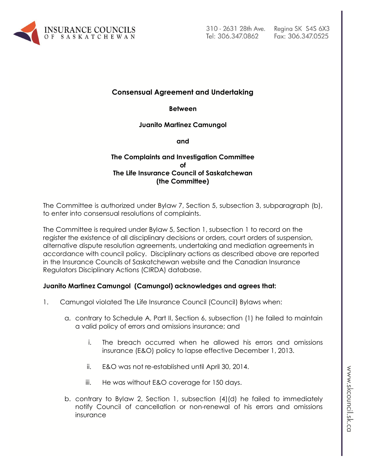

310 - 2631 28th Ave. Tel: 306.347.0862

## **Consensual Agreement and Undertaking**

**Between**

**Juanito Martinez Camungol** 

**and**

### **The Complaints and Investigation Committee of The Life Insurance Council of Saskatchewan (the Committee)**

The Committee is authorized under Bylaw 7, Section 5, subsection 3, subparagraph (b), to enter into consensual resolutions of complaints.

The Committee is required under Bylaw 5, Section 1, subsection 1 to record on the register the existence of all disciplinary decisions or orders, court orders of suspension, alternative dispute resolution agreements, undertaking and mediation agreements in accordance with council policy. Disciplinary actions as described above are reported in the Insurance Councils of Saskatchewan website and the Canadian Insurance Regulators Disciplinary Actions (CIRDA) database.

### **Juanito Martinez Camungol (Camungol) acknowledges and agrees that:**

- 1. Camungol violated The Life Insurance Council (Council) Bylaws when:
	- a. contrary to Schedule A, Part II, Section 6, subsection (1) he failed to maintain a valid policy of errors and omissions insurance; and
		- i. The breach occurred when he allowed his errors and omissions insurance (E&O) policy to lapse effective December 1, 2013.
		- ii. E&O was not re-established until April 30, 2014.
		- iii. He was without E&O coverage for 150 days.
	- b. contrary to Bylaw 2, Section 1, subsection (4)(d) he failed to immediately notify Council of cancellation or non-renewal of his errors and omissions insurance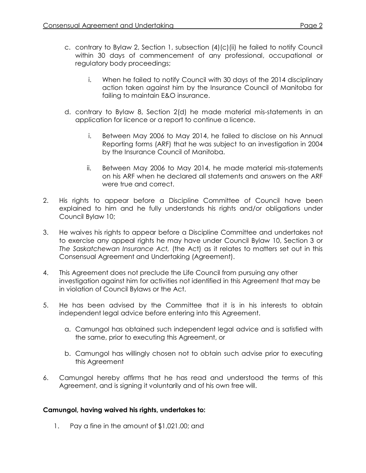- c. contrary to Bylaw 2, Section 1, subsection (4)(c)(ii) he failed to notify Council within 30 days of commencement of any professional, occupational or regulatory body proceedings;
	- i. When he failed to notify Council with 30 days of the 2014 disciplinary action taken against him by the Insurance Council of Manitoba for failing to maintain E&O insurance.
- d. contrary to Bylaw 8, Section 2(d) he made material mis-statements in an application for licence or a report to continue a licence.
	- i. Between May 2006 to May 2014, he failed to disclose on his Annual Reporting forms (ARF) that he was subject to an investigation in 2004 by the Insurance Council of Manitoba.
	- ii. Between May 2006 to May 2014, he made material mis-statements on his ARF when he declared all statements and answers on the ARF were true and correct.
- 2. His rights to appear before a Discipline Committee of Council have been explained to him and he fully understands his rights and/or obligations under Council Bylaw 10;
- 3. He waives his rights to appear before a Discipline Committee and undertakes not to exercise any appeal rights he may have under Council Bylaw 10, Section 3 or *The Saskatchewan Insurance Act,* (the Act) as it relates to matters set out in this Consensual Agreement and Undertaking (Agreement).
- 4. This Agreement does not preclude the Life Council from pursuing any other investigation against him for activities not identified in this Agreement that may be in violation of Council Bylaws or the Act.
- 5. He has been advised by the Committee that it is in his interests to obtain independent legal advice before entering into this Agreement.
	- a. Camungol has obtained such independent legal advice and is satisfied with the same, prior to executing this Agreement, or
	- b. Camungol has willingly chosen not to obtain such advise prior to executing this Agreement
- 6. Camungol hereby affirms that he has read and understood the terms of this Agreement, and is signing it voluntarily and of his own free will.

# **Camungol, having waived his rights, undertakes to:**

1. Pay a fine in the amount of \$1,021.00; and